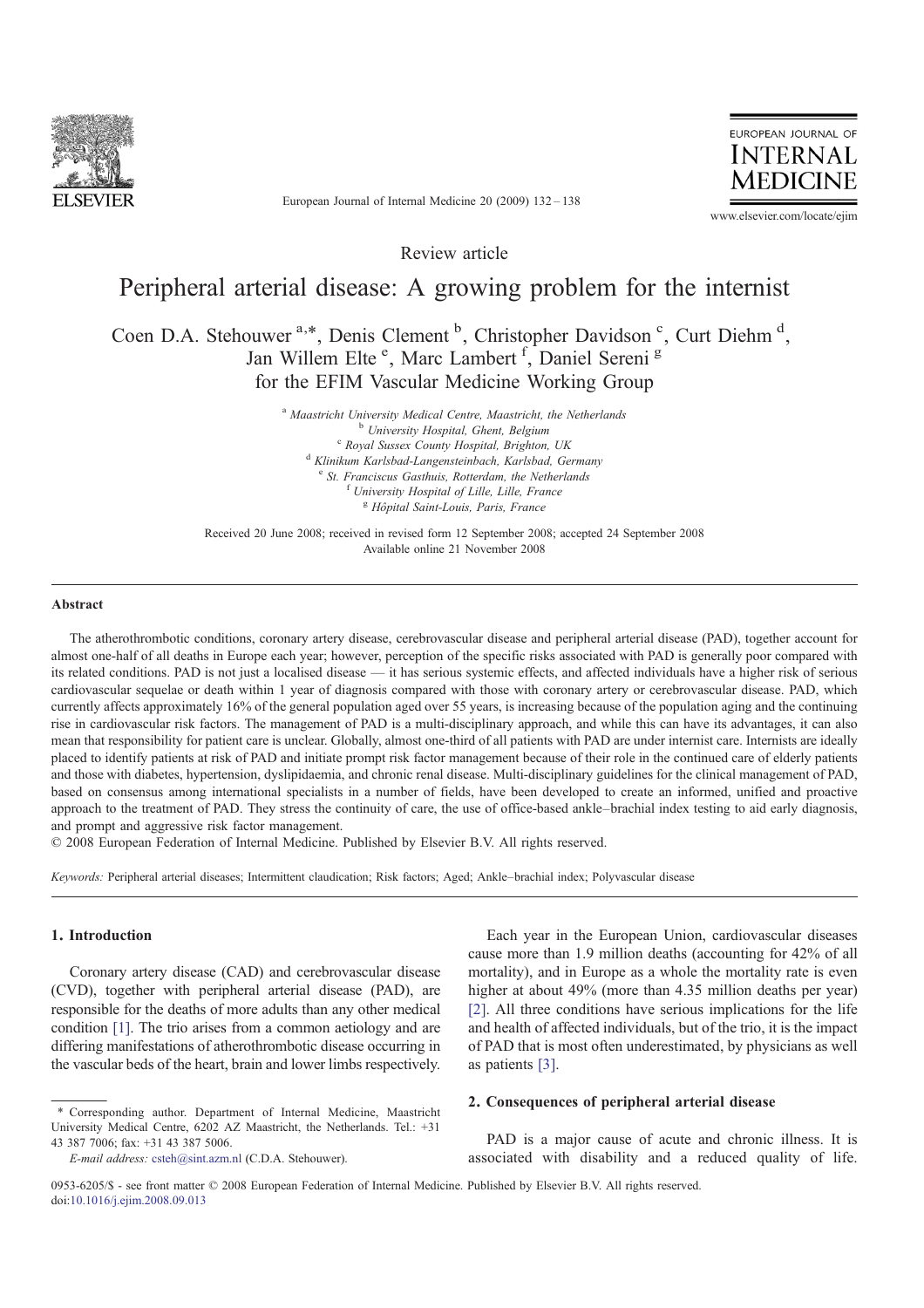

European Journal of Internal Medicine 20 (2009) 132–138

EUROPEAN JOURNAL OF **INTERNAL MEDICINE** 

www.elsevier.com/locate/ejim

Review article

# Peripheral arterial disease: A growing problem for the internist

Coen D.A. Stehouwer<sup>a,\*</sup>, Denis Clement<sup>b</sup>, Christopher Davidson<sup>c</sup>, Curt Diehm<sup>d</sup>, Jan Willem Elte <sup>e</sup>, Marc Lambert <sup>f</sup>, Daniel Sereni<sup>g</sup> for the EFIM Vascular Medicine Working Group

> <sup>a</sup> Maastricht University Medical Centre, Maastricht, the Netherlands<br><sup>b</sup> University Hospital, Ghent, Belgium<br><sup>c</sup> Royal Sussex County Hospital, Brighton, UK <sup>d</sup> Klinikum Karlsbad-Langensteinbach, Karlsbad, Germany  $e^c$  St. Franciscus Gasthuis, Rotterdam, the Netherlands  $f$  University Hospital of Lille, Lille, France <sup>g</sup> Hôpital Saint-Louis, Paris, France

Received 20 June 2008; received in revised form 12 September 2008; accepted 24 September 2008 Available online 21 November 2008

### Abstract

The atherothrombotic conditions, coronary artery disease, cerebrovascular disease and peripheral arterial disease (PAD), together account for almost one-half of all deaths in Europe each year; however, perception of the specific risks associated with PAD is generally poor compared with its related conditions. PAD is not just a localised disease — it has serious systemic effects, and affected individuals have a higher risk of serious cardiovascular sequelae or death within 1 year of diagnosis compared with those with coronary artery or cerebrovascular disease. PAD, which currently affects approximately 16% of the general population aged over 55 years, is increasing because of the population aging and the continuing rise in cardiovascular risk factors. The management of PAD is a multi-disciplinary approach, and while this can have its advantages, it can also mean that responsibility for patient care is unclear. Globally, almost one-third of all patients with PAD are under internist care. Internists are ideally placed to identify patients at risk of PAD and initiate prompt risk factor management because of their role in the continued care of elderly patients and those with diabetes, hypertension, dyslipidaemia, and chronic renal disease. Multi-disciplinary guidelines for the clinical management of PAD, based on consensus among international specialists in a number of fields, have been developed to create an informed, unified and proactive approach to the treatment of PAD. They stress the continuity of care, the use of office-based ankle–brachial index testing to aid early diagnosis, and prompt and aggressive risk factor management.

© 2008 European Federation of Internal Medicine. Published by Elsevier B.V. All rights reserved.

Keywords: Peripheral arterial diseases; Intermittent claudication; Risk factors; Aged; Ankle–brachial index; Polyvascular disease

#### 1. Introduction

Coronary artery disease (CAD) and cerebrovascular disease (CVD), together with peripheral arterial disease (PAD), are responsible for the deaths of more adults than any other medical condition [1]. The trio arises from a common aetiology and are differing manifestations of atherothrombotic disease occurring in the vascular beds of the heart, brain and lower limbs respectively.

Each year in the European Union, cardiovascular diseases cause more than 1.9 million deaths (accounting for 42% of all mortality), and in Europe as a whole the mortality rate is even higher at about 49% (more than 4.35 million deaths per year) [2]. All three conditions have serious implications for the life and health of affected individuals, but of the trio, it is the impact of PAD that is most often underestimated, by physicians as well as patients [3].

#### 2. Consequences of peripheral arterial disease

PAD is a major cause of acute and chronic illness. It is associated with disability and a reduced quality of life.

<sup>⁎</sup> Corresponding author. Department of Internal Medicine, Maastricht University Medical Centre, 6202 AZ Maastricht, the Netherlands. Tel.: +31 43 387 7006; fax: +31 43 387 5006.

E-mail address: csteh@sint.azm.nl (C.D.A. Stehouwer).

<sup>0953-6205/\$ -</sup> see front matter © 2008 European Federation of Internal Medicine. Published by Elsevier B.V. All rights reserved. doi:10.1016/j.ejim.2008.09.013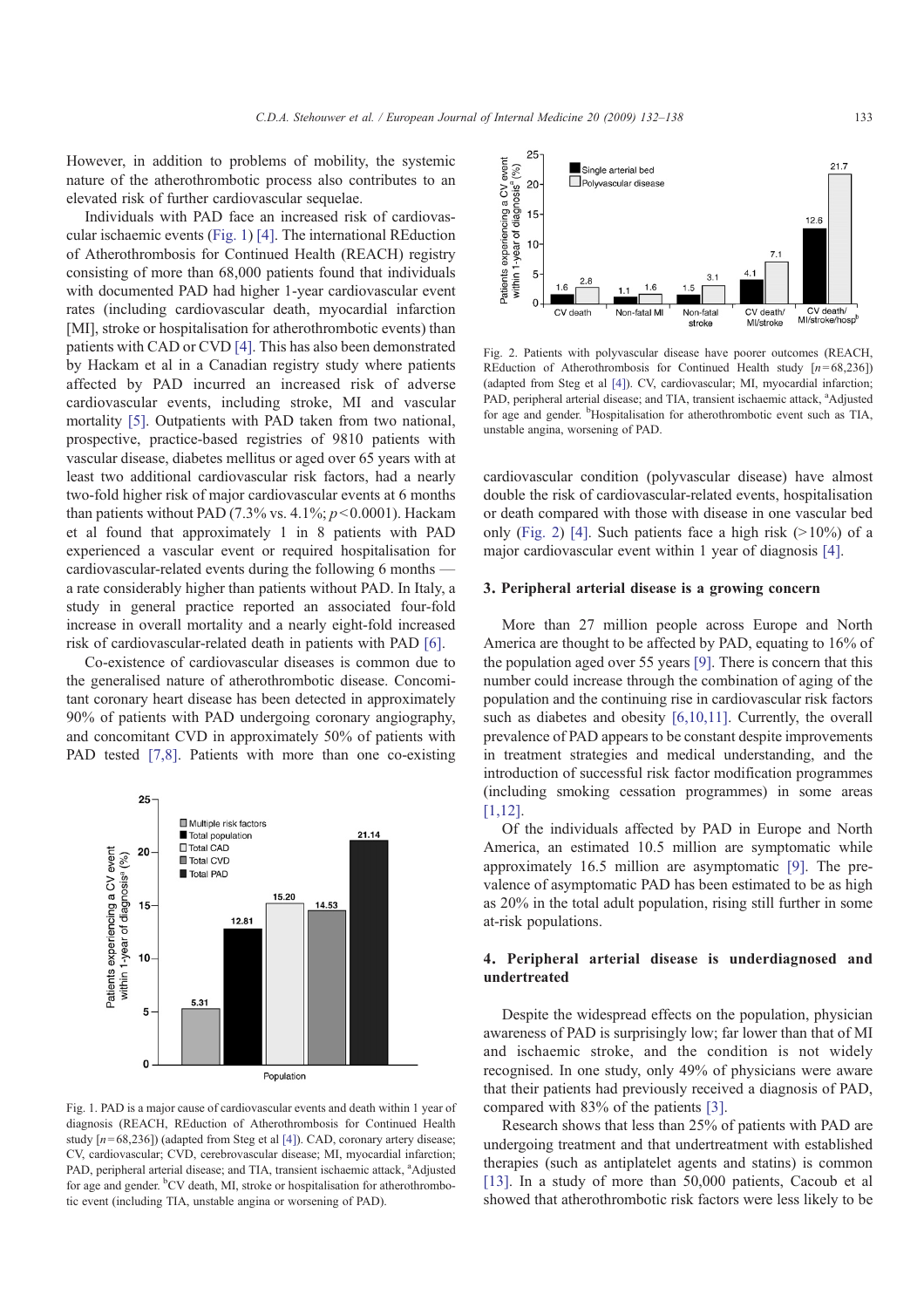However, in addition to problems of mobility, the systemic nature of the atherothrombotic process also contributes to an elevated risk of further cardiovascular sequelae.

Individuals with PAD face an increased risk of cardiovascular ischaemic events (Fig. 1) [4]. The international REduction of Atherothrombosis for Continued Health (REACH) registry consisting of more than 68,000 patients found that individuals with documented PAD had higher 1-year cardiovascular event rates (including cardiovascular death, myocardial infarction [MI], stroke or hospitalisation for atherothrombotic events) than patients with CAD or CVD [4]. This has also been demonstrated by Hackam et al in a Canadian registry study where patients affected by PAD incurred an increased risk of adverse cardiovascular events, including stroke, MI and vascular mortality [5]. Outpatients with PAD taken from two national, prospective, practice-based registries of 9810 patients with vascular disease, diabetes mellitus or aged over 65 years with at least two additional cardiovascular risk factors, had a nearly two-fold higher risk of major cardiovascular events at 6 months than patients without PAD (7.3% vs. 4.1%;  $p<0.0001$ ). Hackam et al found that approximately 1 in 8 patients with PAD experienced a vascular event or required hospitalisation for cardiovascular-related events during the following 6 months a rate considerably higher than patients without PAD. In Italy, a study in general practice reported an associated four-fold increase in overall mortality and a nearly eight-fold increased risk of cardiovascular-related death in patients with PAD [6].

Co-existence of cardiovascular diseases is common due to the generalised nature of atherothrombotic disease. Concomitant coronary heart disease has been detected in approximately 90% of patients with PAD undergoing coronary angiography, and concomitant CVD in approximately 50% of patients with PAD tested [7,8]. Patients with more than one co-existing



Fig. 1. PAD is a major cause of cardiovascular events and death within 1 year of diagnosis (REACH, REduction of Atherothrombosis for Continued Health study  $[n=68,236]$ ) (adapted from Steg et al [4]). CAD, coronary artery disease; CV, cardiovascular; CVD, cerebrovascular disease; MI, myocardial infarction; PAD, peripheral arterial disease; and TIA, transient ischaemic attack, <sup>a</sup>Adjusted for age and gender. <sup>b</sup>CV death, MI, stroke or hospitalisation for atherothrombotic event (including TIA, unstable angina or worsening of PAD).



Fig. 2. Patients with polyvascular disease have poorer outcomes (REACH, REduction of Atherothrombosis for Continued Health study  $[n=68,236]$ (adapted from Steg et al [4]). CV, cardiovascular; MI, myocardial infarction; PAD, peripheral arterial disease; and TIA, transient ischaemic attack, <sup>a</sup>Adjusted for age and gender. <sup>b</sup>Hospitalisation for atherothrombotic event such as TIA, unstable angina, worsening of PAD.

cardiovascular condition (polyvascular disease) have almost double the risk of cardiovascular-related events, hospitalisation or death compared with those with disease in one vascular bed only (Fig. 2) [4]. Such patients face a high risk  $(>10\%)$  of a major cardiovascular event within 1 year of diagnosis [4].

### 3. Peripheral arterial disease is a growing concern

More than 27 million people across Europe and North America are thought to be affected by PAD, equating to 16% of the population aged over 55 years [9]. There is concern that this number could increase through the combination of aging of the population and the continuing rise in cardiovascular risk factors such as diabetes and obesity [6,10,11]. Currently, the overall prevalence of PAD appears to be constant despite improvements in treatment strategies and medical understanding, and the introduction of successful risk factor modification programmes (including smoking cessation programmes) in some areas [1,12].

Of the individuals affected by PAD in Europe and North America, an estimated 10.5 million are symptomatic while approximately 16.5 million are asymptomatic [9]. The prevalence of asymptomatic PAD has been estimated to be as high as 20% in the total adult population, rising still further in some at-risk populations.

# 4. Peripheral arterial disease is underdiagnosed and undertreated

Despite the widespread effects on the population, physician awareness of PAD is surprisingly low; far lower than that of MI and ischaemic stroke, and the condition is not widely recognised. In one study, only 49% of physicians were aware that their patients had previously received a diagnosis of PAD, compared with 83% of the patients [3].

Research shows that less than 25% of patients with PAD are undergoing treatment and that undertreatment with established therapies (such as antiplatelet agents and statins) is common [13]. In a study of more than 50,000 patients, Cacoub et al showed that atherothrombotic risk factors were less likely to be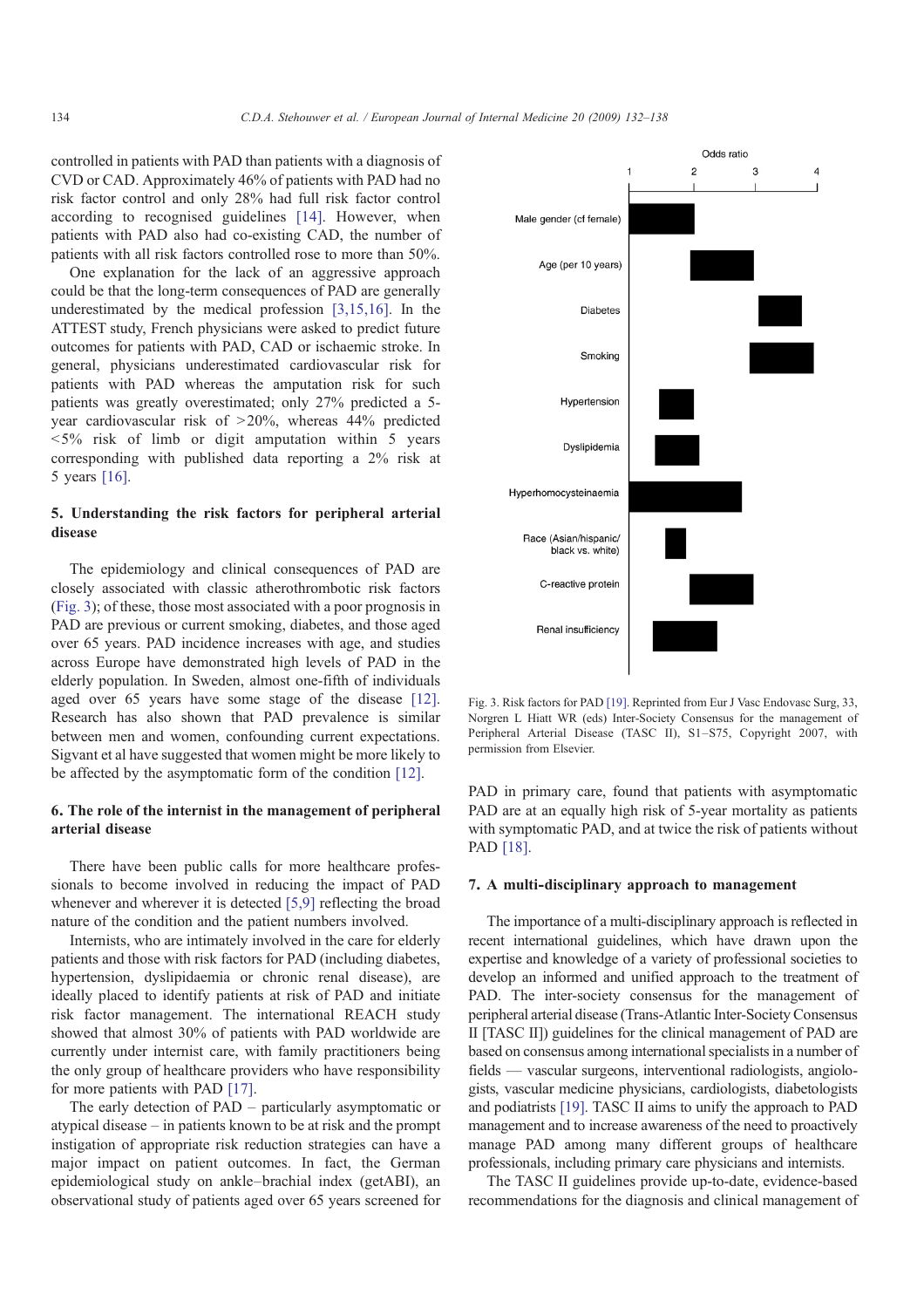controlled in patients with PAD than patients with a diagnosis of CVD or CAD. Approximately 46% of patients with PAD had no risk factor control and only 28% had full risk factor control according to recognised guidelines [14]. However, when patients with PAD also had co-existing CAD, the number of patients with all risk factors controlled rose to more than 50%.

One explanation for the lack of an aggressive approach could be that the long-term consequences of PAD are generally underestimated by the medical profession [3,15,16]. In the ATTEST study, French physicians were asked to predict future outcomes for patients with PAD, CAD or ischaemic stroke. In general, physicians underestimated cardiovascular risk for patients with PAD whereas the amputation risk for such patients was greatly overestimated; only 27% predicted a 5 year cardiovascular risk of  $>20\%$ , whereas 44% predicted  $5\%$  risk of limb or digit amputation within 5 years corresponding with published data reporting a 2% risk at 5 years [16].

## 5. Understanding the risk factors for peripheral arterial disease

The epidemiology and clinical consequences of PAD are closely associated with classic atherothrombotic risk factors (Fig. 3); of these, those most associated with a poor prognosis in PAD are previous or current smoking, diabetes, and those aged over 65 years. PAD incidence increases with age, and studies across Europe have demonstrated high levels of PAD in the elderly population. In Sweden, almost one-fifth of individuals aged over 65 years have some stage of the disease [12]. Research has also shown that PAD prevalence is similar between men and women, confounding current expectations. Sigvant et al have suggested that women might be more likely to be affected by the asymptomatic form of the condition [12].

# 6. The role of the internist in the management of peripheral arterial disease

There have been public calls for more healthcare professionals to become involved in reducing the impact of PAD whenever and wherever it is detected [5,9] reflecting the broad nature of the condition and the patient numbers involved.

Internists, who are intimately involved in the care for elderly patients and those with risk factors for PAD (including diabetes, hypertension, dyslipidaemia or chronic renal disease), are ideally placed to identify patients at risk of PAD and initiate risk factor management. The international REACH study showed that almost 30% of patients with PAD worldwide are currently under internist care, with family practitioners being the only group of healthcare providers who have responsibility for more patients with PAD [17].

The early detection of PAD – particularly asymptomatic or atypical disease – in patients known to be at risk and the prompt instigation of appropriate risk reduction strategies can have a major impact on patient outcomes. In fact, the German epidemiological study on ankle–brachial index (getABI), an observational study of patients aged over 65 years screened for



Fig. 3. Risk factors for PAD [19]. Reprinted from Eur J Vasc Endovasc Surg, 33, Norgren L Hiatt WR (eds) Inter-Society Consensus for the management of Peripheral Arterial Disease (TASC II), S1–S75, Copyright 2007, with permission from Elsevier.

PAD in primary care, found that patients with asymptomatic PAD are at an equally high risk of 5-year mortality as patients with symptomatic PAD, and at twice the risk of patients without PAD [18].

#### 7. A multi-disciplinary approach to management

The importance of a multi-disciplinary approach is reflected in recent international guidelines, which have drawn upon the expertise and knowledge of a variety of professional societies to develop an informed and unified approach to the treatment of PAD. The inter-society consensus for the management of peripheral arterial disease (Trans-Atlantic Inter-Society Consensus II [TASC II]) guidelines for the clinical management of PAD are based on consensus among international specialists in a number of fields — vascular surgeons, interventional radiologists, angiologists, vascular medicine physicians, cardiologists, diabetologists and podiatrists [19]. TASC II aims to unify the approach to PAD management and to increase awareness of the need to proactively manage PAD among many different groups of healthcare professionals, including primary care physicians and internists.

The TASC II guidelines provide up-to-date, evidence-based recommendations for the diagnosis and clinical management of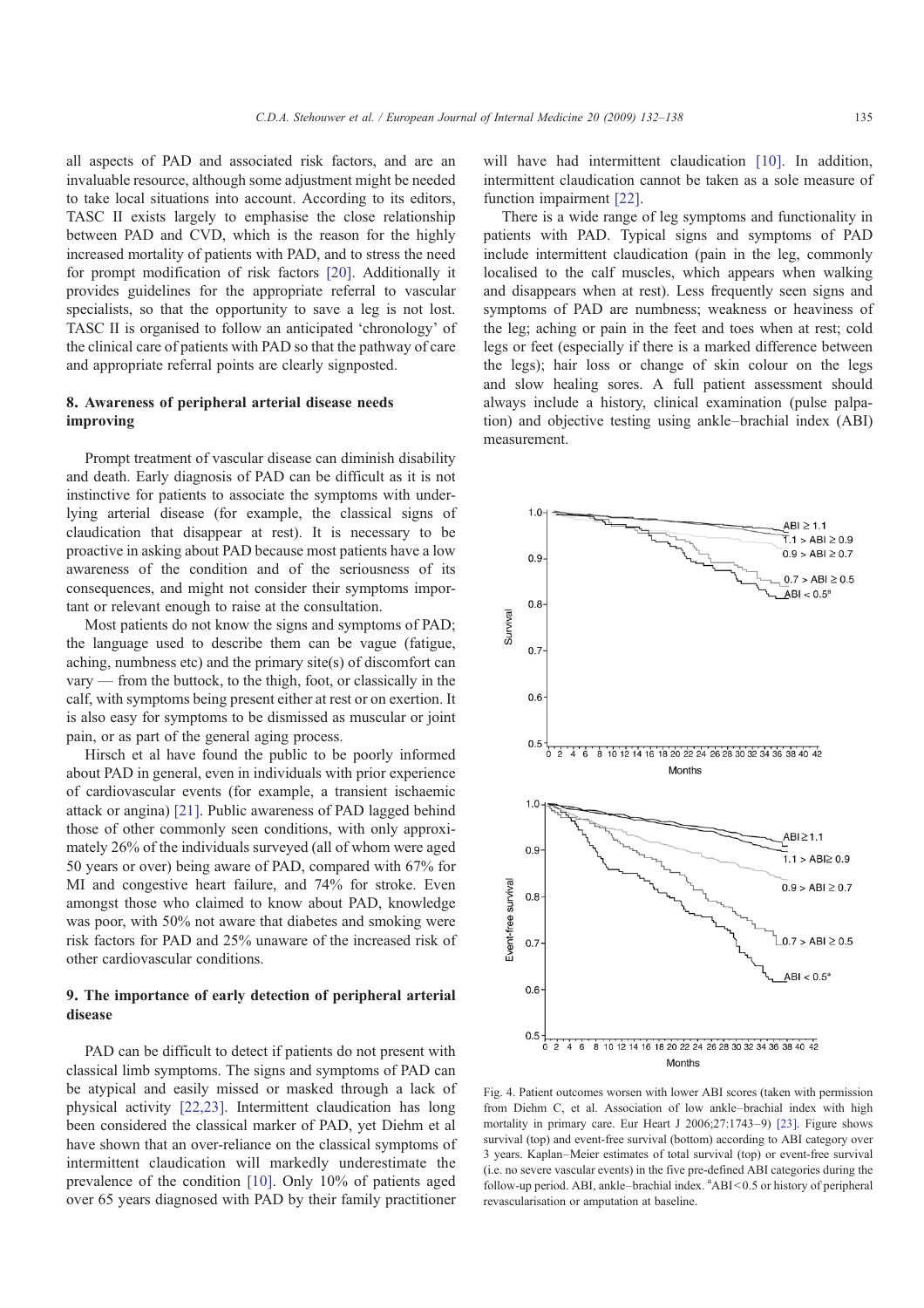all aspects of PAD and associated risk factors, and are an invaluable resource, although some adjustment might be needed to take local situations into account. According to its editors, TASC II exists largely to emphasise the close relationship between PAD and CVD, which is the reason for the highly increased mortality of patients with PAD, and to stress the need for prompt modification of risk factors [20]. Additionally it provides guidelines for the appropriate referral to vascular specialists, so that the opportunity to save a leg is not lost. TASC II is organised to follow an anticipated 'chronology' of the clinical care of patients with PAD so that the pathway of care and appropriate referral points are clearly signposted.

## 8. Awareness of peripheral arterial disease needs improving

Prompt treatment of vascular disease can diminish disability and death. Early diagnosis of PAD can be difficult as it is not instinctive for patients to associate the symptoms with underlying arterial disease (for example, the classical signs of claudication that disappear at rest). It is necessary to be proactive in asking about PAD because most patients have a low awareness of the condition and of the seriousness of its consequences, and might not consider their symptoms important or relevant enough to raise at the consultation.

Most patients do not know the signs and symptoms of PAD; the language used to describe them can be vague (fatigue, aching, numbness etc) and the primary site(s) of discomfort can vary — from the buttock, to the thigh, foot, or classically in the calf, with symptoms being present either at rest or on exertion. It is also easy for symptoms to be dismissed as muscular or joint pain, or as part of the general aging process.

Hirsch et al have found the public to be poorly informed about PAD in general, even in individuals with prior experience of cardiovascular events (for example, a transient ischaemic attack or angina) [21]. Public awareness of PAD lagged behind those of other commonly seen conditions, with only approximately 26% of the individuals surveyed (all of whom were aged 50 years or over) being aware of PAD, compared with 67% for MI and congestive heart failure, and 74% for stroke. Even amongst those who claimed to know about PAD, knowledge was poor, with 50% not aware that diabetes and smoking were risk factors for PAD and 25% unaware of the increased risk of other cardiovascular conditions.

# 9. The importance of early detection of peripheral arterial disease

PAD can be difficult to detect if patients do not present with classical limb symptoms. The signs and symptoms of PAD can be atypical and easily missed or masked through a lack of physical activity [22,23]. Intermittent claudication has long been considered the classical marker of PAD, yet Diehm et al have shown that an over-reliance on the classical symptoms of intermittent claudication will markedly underestimate the prevalence of the condition [10]. Only 10% of patients aged over 65 years diagnosed with PAD by their family practitioner

will have had intermittent claudication [10]. In addition, intermittent claudication cannot be taken as a sole measure of function impairment [22].

There is a wide range of leg symptoms and functionality in patients with PAD. Typical signs and symptoms of PAD include intermittent claudication (pain in the leg, commonly localised to the calf muscles, which appears when walking and disappears when at rest). Less frequently seen signs and symptoms of PAD are numbness; weakness or heaviness of the leg; aching or pain in the feet and toes when at rest; cold legs or feet (especially if there is a marked difference between the legs); hair loss or change of skin colour on the legs and slow healing sores. A full patient assessment should always include a history, clinical examination (pulse palpation) and objective testing using ankle–brachial index (ABI) measurement.



Fig. 4. Patient outcomes worsen with lower ABI scores (taken with permission from Diehm C, et al. Association of low ankle–brachial index with high mortality in primary care. Eur Heart J 2006;27:1743–9) [23]. Figure shows survival (top) and event-free survival (bottom) according to ABI category over 3 years. Kaplan–Meier estimates of total survival (top) or event-free survival (i.e. no severe vascular events) in the five pre-defined ABI categories during the follow-up period. ABI, ankle-brachial index. <sup>a</sup>ABI<0.5 or history of peripheral revascularisation or amputation at baseline.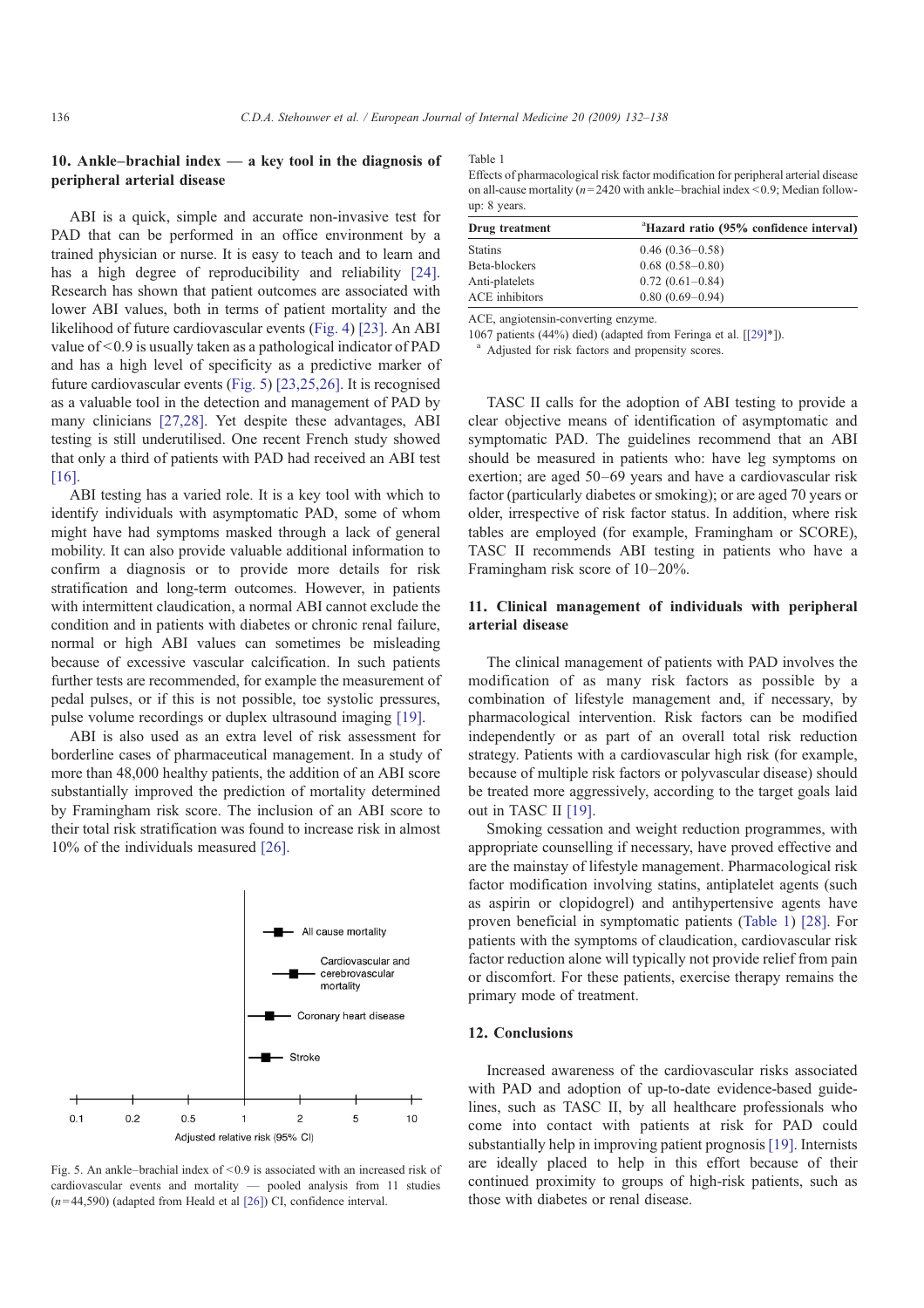# 10. Ankle–brachial index — a key tool in the diagnosis of peripheral arterial disease

ABI is a quick, simple and accurate non-invasive test for PAD that can be performed in an office environment by a trained physician or nurse. It is easy to teach and to learn and has a high degree of reproducibility and reliability [24]. Research has shown that patient outcomes are associated with lower ABI values, both in terms of patient mortality and the likelihood of future cardiovascular events (Fig. 4) [23]. An ABI value of  $\leq$  0.9 is usually taken as a pathological indicator of PAD and has a high level of specificity as a predictive marker of future cardiovascular events (Fig. 5) [23,25,26]. It is recognised as a valuable tool in the detection and management of PAD by many clinicians [27,28]. Yet despite these advantages, ABI testing is still underutilised. One recent French study showed that only a third of patients with PAD had received an ABI test [16].

ABI testing has a varied role. It is a key tool with which to identify individuals with asymptomatic PAD, some of whom might have had symptoms masked through a lack of general mobility. It can also provide valuable additional information to confirm a diagnosis or to provide more details for risk stratification and long-term outcomes. However, in patients with intermittent claudication, a normal ABI cannot exclude the condition and in patients with diabetes or chronic renal failure, normal or high ABI values can sometimes be misleading because of excessive vascular calcification. In such patients further tests are recommended, for example the measurement of pedal pulses, or if this is not possible, toe systolic pressures, pulse volume recordings or duplex ultrasound imaging [19].

ABI is also used as an extra level of risk assessment for borderline cases of pharmaceutical management. In a study of more than 48,000 healthy patients, the addition of an ABI score substantially improved the prediction of mortality determined by Framingham risk score. The inclusion of an ABI score to their total risk stratification was found to increase risk in almost 10% of the individuals measured [26].



Fig. 5. An ankle–brachial index of  $\leq 0.9$  is associated with an increased risk of cardiovascular events and mortality — pooled analysis from 11 studies  $(n= 44,590)$  (adapted from Heald et al [26]) CI, confidence interval.

Table 1

Effects of pharmacological risk factor modification for peripheral arterial disease on all-cause mortality ( $n=2420$  with ankle–brachial index <0.9; Median followup: 8 years.

| Drug treatment        | <sup>a</sup> Hazard ratio (95% confidence interval) |
|-----------------------|-----------------------------------------------------|
| <b>Statins</b>        | $0.46(0.36 - 0.58)$                                 |
| Beta-blockers         | $0.68(0.58-0.80)$                                   |
| Anti-platelets        | $0.72(0.61 - 0.84)$                                 |
| <b>ACE</b> inhibitors | $0.80(0.69-0.94)$                                   |
|                       |                                                     |

ACE, angiotensin-converting enzyme.

1067 patients (44%) died) (adapted from Feringa et al. [[29]\*]).<br><sup>a</sup> Adjusted for risk factors and propensity scores.

TASC II calls for the adoption of ABI testing to provide a clear objective means of identification of asymptomatic and symptomatic PAD. The guidelines recommend that an ABI should be measured in patients who: have leg symptoms on exertion; are aged 50–69 years and have a cardiovascular risk factor (particularly diabetes or smoking); or are aged 70 years or older, irrespective of risk factor status. In addition, where risk tables are employed (for example, Framingham or SCORE), TASC II recommends ABI testing in patients who have a Framingham risk score of 10–20%.

# 11. Clinical management of individuals with peripheral arterial disease

The clinical management of patients with PAD involves the modification of as many risk factors as possible by a combination of lifestyle management and, if necessary, by pharmacological intervention. Risk factors can be modified independently or as part of an overall total risk reduction strategy. Patients with a cardiovascular high risk (for example, because of multiple risk factors or polyvascular disease) should be treated more aggressively, according to the target goals laid out in TASC II [19].

Smoking cessation and weight reduction programmes, with appropriate counselling if necessary, have proved effective and are the mainstay of lifestyle management. Pharmacological risk factor modification involving statins, antiplatelet agents (such as aspirin or clopidogrel) and antihypertensive agents have proven beneficial in symptomatic patients (Table 1) [28]. For patients with the symptoms of claudication, cardiovascular risk factor reduction alone will typically not provide relief from pain or discomfort. For these patients, exercise therapy remains the primary mode of treatment.

## 12. Conclusions

Increased awareness of the cardiovascular risks associated with PAD and adoption of up-to-date evidence-based guidelines, such as TASC II, by all healthcare professionals who come into contact with patients at risk for PAD could substantially help in improving patient prognosis [19]. Internists are ideally placed to help in this effort because of their continued proximity to groups of high-risk patients, such as those with diabetes or renal disease.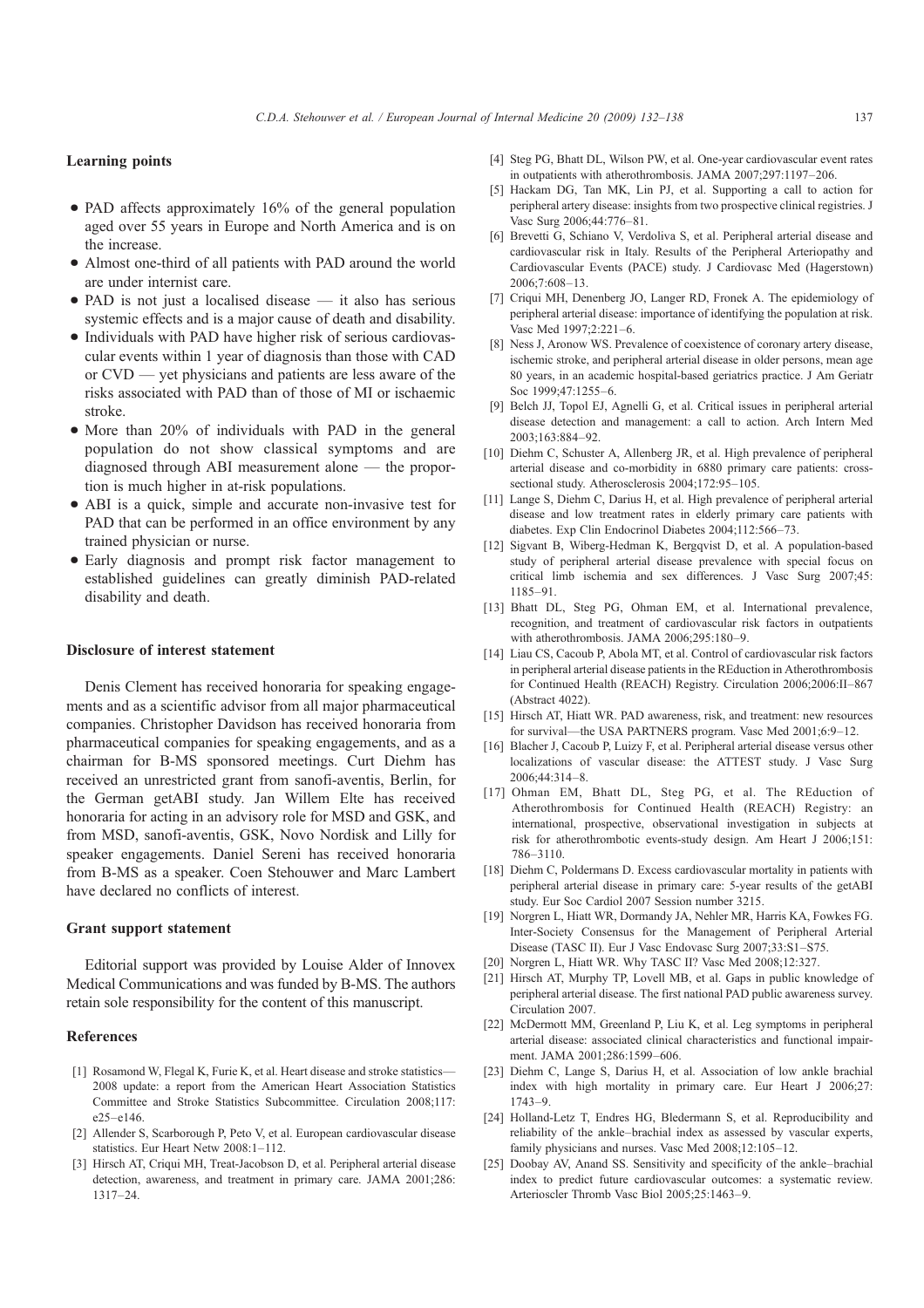## Learning points

- PAD affects approximately 16% of the general population aged over 55 years in Europe and North America and is on the increase.
- Almost one-third of all patients with PAD around the world are under internist care.
- PAD is not just a localised disease it also has serious systemic effects and is a major cause of death and disability.
- Individuals with PAD have higher risk of serious cardiovascular events within 1 year of diagnosis than those with CAD or CVD — yet physicians and patients are less aware of the risks associated with PAD than of those of MI or ischaemic stroke.
- More than 20% of individuals with PAD in the general population do not show classical symptoms and are diagnosed through ABI measurement alone — the proportion is much higher in at-risk populations.
- ABI is a quick, simple and accurate non-invasive test for PAD that can be performed in an office environment by any trained physician or nurse.
- Early diagnosis and prompt risk factor management to established guidelines can greatly diminish PAD-related disability and death.

#### Disclosure of interest statement

Denis Clement has received honoraria for speaking engagements and as a scientific advisor from all major pharmaceutical companies. Christopher Davidson has received honoraria from pharmaceutical companies for speaking engagements, and as a chairman for B-MS sponsored meetings. Curt Diehm has received an unrestricted grant from sanofi-aventis, Berlin, for the German getABI study. Jan Willem Elte has received honoraria for acting in an advisory role for MSD and GSK, and from MSD, sanofi-aventis, GSK, Novo Nordisk and Lilly for speaker engagements. Daniel Sereni has received honoraria from B-MS as a speaker. Coen Stehouwer and Marc Lambert have declared no conflicts of interest.

## Grant support statement

Editorial support was provided by Louise Alder of Innovex Medical Communications and was funded by B-MS. The authors retain sole responsibility for the content of this manuscript.

#### References

- [1] Rosamond W, Flegal K, Furie K, et al. Heart disease and stroke statistics— 2008 update: a report from the American Heart Association Statistics Committee and Stroke Statistics Subcommittee. Circulation 2008;117: e25–e146.
- [2] Allender S, Scarborough P, Peto V, et al. European cardiovascular disease statistics. Eur Heart Netw 2008:1–112.
- [3] Hirsch AT, Criqui MH, Treat-Jacobson D, et al. Peripheral arterial disease detection, awareness, and treatment in primary care. JAMA 2001;286: 1317–24.
- [4] Steg PG, Bhatt DL, Wilson PW, et al. One-year cardiovascular event rates in outpatients with atherothrombosis. JAMA 2007;297:1197–206.
- [5] Hackam DG, Tan MK, Lin PJ, et al. Supporting a call to action for peripheral artery disease: insights from two prospective clinical registries. J Vasc Surg 2006;44:776–81.
- [6] Brevetti G, Schiano V, Verdoliva S, et al. Peripheral arterial disease and cardiovascular risk in Italy. Results of the Peripheral Arteriopathy and Cardiovascular Events (PACE) study. J Cardiovasc Med (Hagerstown) 2006;7:608–13.
- [7] Criqui MH, Denenberg JO, Langer RD, Fronek A. The epidemiology of peripheral arterial disease: importance of identifying the population at risk. Vasc Med 1997;2:221–6.
- [8] Ness J, Aronow WS. Prevalence of coexistence of coronary artery disease, ischemic stroke, and peripheral arterial disease in older persons, mean age 80 years, in an academic hospital-based geriatrics practice. J Am Geriatr Soc 1999;47:1255–6.
- [9] Belch JJ, Topol EJ, Agnelli G, et al. Critical issues in peripheral arterial disease detection and management: a call to action. Arch Intern Med 2003;163:884–92.
- [10] Diehm C, Schuster A, Allenberg JR, et al. High prevalence of peripheral arterial disease and co-morbidity in 6880 primary care patients: crosssectional study. Atherosclerosis 2004;172:95–105.
- [11] Lange S, Diehm C, Darius H, et al. High prevalence of peripheral arterial disease and low treatment rates in elderly primary care patients with diabetes. Exp Clin Endocrinol Diabetes 2004;112:566–73.
- [12] Sigvant B, Wiberg-Hedman K, Bergqvist D, et al. A population-based study of peripheral arterial disease prevalence with special focus on critical limb ischemia and sex differences. J Vasc Surg 2007;45: 1185–91.
- [13] Bhatt DL, Steg PG, Ohman EM, et al. International prevalence, recognition, and treatment of cardiovascular risk factors in outpatients with atherothrombosis. JAMA 2006;295:180–9.
- [14] Liau CS, Cacoub P, Abola MT, et al. Control of cardiovascular risk factors in peripheral arterial disease patients in the REduction in Atherothrombosis for Continued Health (REACH) Registry. Circulation 2006;2006:II–867 (Abstract 4022).
- [15] Hirsch AT, Hiatt WR. PAD awareness, risk, and treatment: new resources for survival—the USA PARTNERS program. Vasc Med 2001;6:9–12.
- [16] Blacher J, Cacoub P, Luizy F, et al. Peripheral arterial disease versus other localizations of vascular disease: the ATTEST study. J Vasc Surg 2006;44:314–8.
- [17] Ohman EM, Bhatt DL, Steg PG, et al. The REduction of Atherothrombosis for Continued Health (REACH) Registry: an international, prospective, observational investigation in subjects at risk for atherothrombotic events-study design. Am Heart J 2006;151: 786–3110.
- [18] Diehm C, Poldermans D. Excess cardiovascular mortality in patients with peripheral arterial disease in primary care: 5-year results of the getABI study. Eur Soc Cardiol 2007 Session number 3215.
- [19] Norgren L, Hiatt WR, Dormandy JA, Nehler MR, Harris KA, Fowkes FG. Inter-Society Consensus for the Management of Peripheral Arterial Disease (TASC II). Eur J Vasc Endovasc Surg 2007;33:S1–S75.
- [20] Norgren L, Hiatt WR. Why TASC II? Vasc Med 2008;12:327.
- [21] Hirsch AT, Murphy TP, Lovell MB, et al. Gaps in public knowledge of peripheral arterial disease. The first national PAD public awareness survey. Circulation 2007.
- [22] McDermott MM, Greenland P, Liu K, et al. Leg symptoms in peripheral arterial disease: associated clinical characteristics and functional impairment. JAMA 2001;286:1599–606.
- [23] Diehm C, Lange S, Darius H, et al. Association of low ankle brachial index with high mortality in primary care. Eur Heart J 2006;27: 1743–9.
- [24] Holland-Letz T, Endres HG, Bledermann S, et al. Reproducibility and reliability of the ankle–brachial index as assessed by vascular experts, family physicians and nurses. Vasc Med 2008;12:105–12.
- [25] Doobay AV, Anand SS. Sensitivity and specificity of the ankle-brachial index to predict future cardiovascular outcomes: a systematic review. Arterioscler Thromb Vasc Biol 2005;25:1463–9.